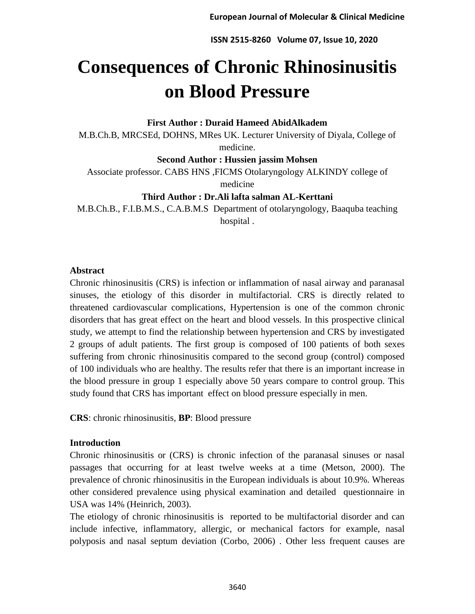# **Consequences of Chronic Rhinosinusitis on Blood Pressure**

### **First Author : Duraid Hameed AbidAlkadem**

M.B.Ch.B, MRCSEd, DOHNS, MRes UK. Lecturer University of Diyala, College of medicine.

**Second Author : Hussien jassim Mohsen**

Associate professor. CABS HNS ,FICMS Otolaryngology ALKINDY college of medicine

**Third Author : Dr.Ali lafta salman AL-Kerttani**

M.B.Ch.B., F.I.B.M.S., C.A.B.M.S Department of otolaryngology, Baaquba teaching hospital .

## **Abstract**

Chronic rhinosinusitis (CRS) is infection or inflammation of nasal airway and paranasal sinuses, the etiology of this disorder in multifactorial. CRS is directly related to threatened cardiovascular complications, Hypertension is one of the common chronic disorders that has great effect on the heart and blood vessels. In this prospective clinical study, we attempt to find the relationship between hypertension and CRS by investigated 2 groups of adult patients. The first group is composed of 100 patients of both sexes suffering from chronic rhinosinusitis compared to the second group (control) composed of 100 individuals who are healthy. The results refer that there is an important increase in the blood pressure in group 1 especially above 50 years compare to control group. This study found that CRS has important effect on blood pressure especially in men.

**CRS**: chronic rhinosinusitis, **BP**: Blood pressure

## **Introduction**

Chronic rhinosinusitis or (CRS) is chronic infection of the paranasal sinuses or nasal passages that occurring for at least twelve weeks at a time (Metson, 2000). The prevalence of chronic rhinosinusitis in the European individuals is about 10.9%. Whereas other considered prevalence using physical examination and detailed questionnaire in USA was 14% (Heinrich, 2003).

The etiology of chronic rhinosinusitis is reported to be multifactorial disorder and can include infective, inflammatory, allergic, or mechanical factors for example, nasal polyposis and nasal septum deviation (Corbo, 2006) . Other less frequent causes are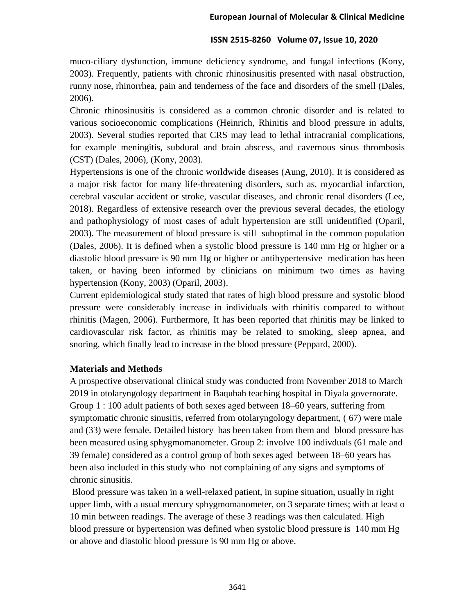muco-ciliary dysfunction, immune deficiency syndrome, and fungal infections (Kony, 2003). Frequently, patients with chronic rhinosinusitis presented with nasal obstruction, runny nose, rhinorrhea, pain and tenderness of the face and disorders of the smell (Dales, 2006).

Chronic rhinosinusitis is considered as a common chronic disorder and is related to various socioeconomic complications (Heinrich, Rhinitis and blood pressure in adults, 2003). Several studies reported that CRS may lead to lethal intracranial complications, for example meningitis, subdural and brain abscess, and cavernous sinus thrombosis (CST) (Dales, 2006), (Kony, 2003).

Hypertensions is one of the chronic worldwide diseases (Aung, 2010). It is considered as a major risk factor for many life-threatening disorders, such as, myocardial infarction, cerebral vascular accident or stroke, vascular diseases, and chronic renal disorders (Lee, 2018). Regardless of extensive research over the previous several decades, the etiology and pathophysiology of most cases of adult hypertension are still unidentified (Oparil, 2003). The measurement of blood pressure is still suboptimal in the common population (Dales, 2006). It is defined when a systolic blood pressure is 140 mm Hg or higher or a diastolic blood pressure is 90 mm Hg or higher or antihypertensive medication has been taken, or having been informed by clinicians on minimum two times as having hypertension (Kony, 2003) (Oparil, 2003).

Current epidemiological study stated that rates of high blood pressure and systolic blood pressure were considerably increase in individuals with rhinitis compared to without rhinitis (Magen, 2006). Furthermore, It has been reported that rhinitis may be linked to cardiovascular risk factor, as rhinitis may be related to smoking, sleep apnea, and snoring, which finally lead to increase in the blood pressure (Peppard, 2000).

### **Materials and Methods**

A prospective observational clinical study was conducted from November 2018 to March 2019 in otolaryngology department in Baqubah teaching hospital in Diyala governorate. Group 1 : 100 adult patients of both sexes aged between 18–60 years, suffering from symptomatic chronic sinusitis, referred from otolaryngology department, ( 67) were male and (33) were female. Detailed history has been taken from them and blood pressure has been measured using sphygmomanometer. Group 2: involve 100 indivduals (61 male and 39 female) considered as a control group of both sexes aged between 18–60 years has been also included in this study who not complaining of any signs and symptoms of chronic sinusitis.

Blood pressure was taken in a well-relaxed patient, in supine situation, usually in right upper limb, with a usual mercury sphygmomanometer, on 3 separate times; with at least o 10 min between readings. The average of these 3 readings was then calculated. High blood pressure or hypertension was defined when systolic blood pressure is 140 mm Hg or above and diastolic blood pressure is 90 mm Hg or above.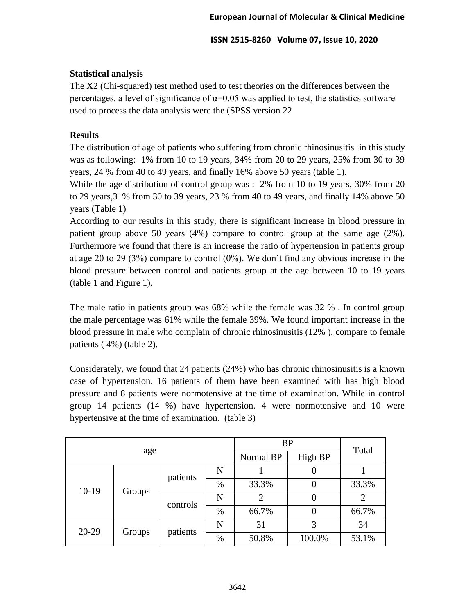## **Statistical analysis**

The X2 (Chi-squared) test method used to test theories on the differences between the percentages. a level of significance of  $\alpha$ =0.05 was applied to test, the statistics software used to process the data analysis were the (SPSS version 22

## **Results**

The distribution of age of patients who suffering from chronic rhinosinusitis in this study was as following: 1% from 10 to 19 years, 34% from 20 to 29 years, 25% from 30 to 39 years, 24 % from 40 to 49 years, and finally 16% above 50 years (table 1).

While the age distribution of control group was : 2% from 10 to 19 years, 30% from 20 to 29 years,31% from 30 to 39 years, 23 % from 40 to 49 years, and finally 14% above 50 years (Table 1)

According to our results in this study, there is significant increase in blood pressure in patient group above 50 years (4%) compare to control group at the same age (2%). Furthermore we found that there is an increase the ratio of hypertension in patients group at age 20 to 29 (3%) compare to control (0%). We don't find any obvious increase in the blood pressure between control and patients group at the age between 10 to 19 years (table 1 and Figure 1).

The male ratio in patients group was 68% while the female was 32 % . In control group the male percentage was 61% while the female 39%. We found important increase in the blood pressure in male who complain of chronic rhinosinusitis (12% ), compare to female patients ( 4%) (table 2).

Considerately, we found that 24 patients (24%) who has chronic rhinosinusitis is a known case of hypertension. 16 patients of them have been examined with has high blood pressure and 8 patients were normotensive at the time of examination. While in control group 14 patients (14 %) have hypertension. 4 were normotensive and 10 were hypertensive at the time of examination. (table 3)

|         |        |          | <b>BP</b> |         |        |                               |
|---------|--------|----------|-----------|---------|--------|-------------------------------|
|         | age    |          | Normal BP | High BP |        |                               |
| $10-19$ | Groups | patients | N         | 0       |        |                               |
|         |        |          | $\%$      | 33.3%   | 0      | 33.3%                         |
|         |        | controls | N         | 2       | O      | 2                             |
|         |        |          | %         | 66.7%   | 0      | Total<br>66.7%<br>34<br>53.1% |
| $20-29$ | Groups | patients | N         | 31      | 3      |                               |
|         |        |          | $\%$      | 50.8%   | 100.0% |                               |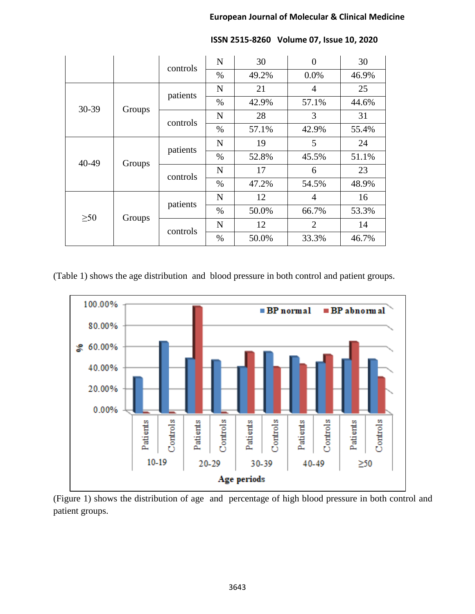|           |        |          | N           | 30    | $\overline{0}$ | 30    |       |
|-----------|--------|----------|-------------|-------|----------------|-------|-------|
|           |        | controls | $\%$        | 49.2% | 0.0%           | 46.9% |       |
| 30-39     | Groups |          | $\mathbf N$ | 21    | $\overline{4}$ | 25    |       |
|           |        | patients | $\%$        | 42.9% | 57.1%          | 44.6% |       |
|           |        | controls | N           | 28    | 3              | 31    |       |
|           |        |          | $\%$        | 57.1% | 42.9%          | 55.4% |       |
| 40-49     | Groups |          | N           | 19    | 5              | 24    |       |
|           |        | patients | $\%$        | 52.8% | 45.5%          | 51.1% |       |
|           |        | controls | N           | 17    | 6              | 23    |       |
|           |        |          | $\%$        | 47.2% | 54.5%          | 48.9% |       |
| $\geq 50$ | Groups |          | $\mathbf N$ | 12    | 4              | 16    |       |
|           |        |          | patients    | $\%$  | 50.0%          | 66.7% | 53.3% |
|           |        | controls | N           | 12    | $\overline{2}$ | 14    |       |
|           |        |          | $\%$        | 50.0% | 33.3%          | 46.7% |       |

**ISSN 2515-8260 Volume 07, Issue 10, 2020**

(Table 1) shows the age distribution and blood pressure in both control and patient groups.



(Figure 1) shows the distribution of age and percentage of high blood pressure in both control and patient groups.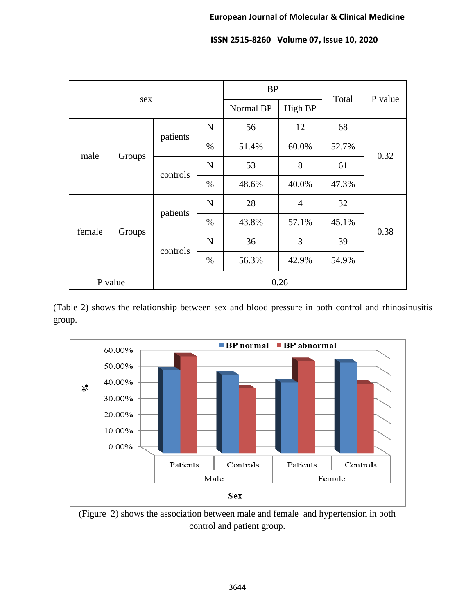|         |        |          |             | <b>BP</b> |                | Total | P value |  |
|---------|--------|----------|-------------|-----------|----------------|-------|---------|--|
| sex     |        |          | Normal BP   | High BP   |                |       |         |  |
| male    | Groups | patients | $\mathbf N$ | 56        | 12             | 68    | 0.32    |  |
|         |        |          | $\%$        | 51.4%     | 60.0%          | 52.7% |         |  |
|         |        | controls | $\mathbf N$ | 53        | 8              | 61    |         |  |
|         |        |          | $\%$        | 48.6%     | 40.0%          | 47.3% |         |  |
| female  | Groups | patients | $\mathbf N$ | 28        | $\overline{4}$ | 32    | 0.38    |  |
|         |        |          | $\%$        | 43.8%     | 57.1%          | 45.1% |         |  |
|         |        | controls | $\mathbf N$ | 36        | 3              | 39    |         |  |
|         |        |          | $\%$        | 56.3%     | 42.9%          | 54.9% |         |  |
| P value |        | 0.26     |             |           |                |       |         |  |

(Table 2) shows the relationship between sex and blood pressure in both control and rhinosinusitis group.



(Figure 2) shows the association between male and female and hypertension in both control and patient group.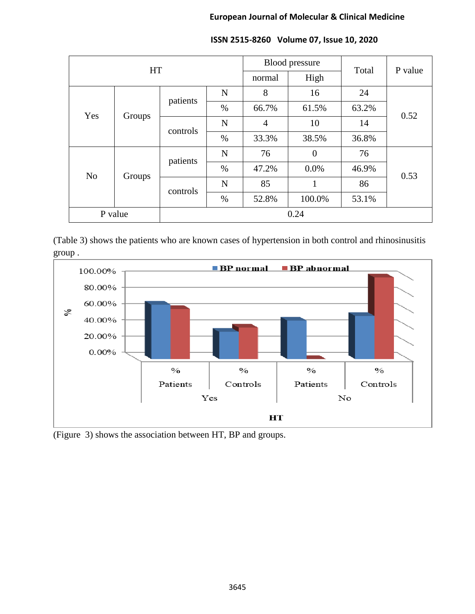#### **European Journal of Molecular & Clinical Medicine**

| <b>HT</b>      |        |          |             | Blood pressure |              | Total | P value |
|----------------|--------|----------|-------------|----------------|--------------|-------|---------|
|                |        |          | normal      | High           |              |       |         |
| Yes            | Groups | patients | $\mathbf N$ | 8              | 16           | 24    | 0.52    |
|                |        |          | %           | 66.7%          | 61.5%        | 63.2% |         |
|                |        | controls | N           | $\overline{4}$ | 10           | 14    |         |
|                |        |          | %           | 33.3%          | 38.5%        | 36.8% |         |
| N <sub>o</sub> | Groups | patients | $\mathbf N$ | 76             | $\theta$     | 76    | 0.53    |
|                |        |          | $\%$        | 47.2%          | 0.0%         | 46.9% |         |
|                |        | controls | N           | 85             | $\mathbf{1}$ | 86    |         |
|                |        |          | $\%$        | 52.8%          | 100.0%       | 53.1% |         |
| P value        |        |          |             |                | 0.24         |       |         |

# **ISSN 2515-8260 Volume 07, Issue 10, 2020**

(Table 3) shows the patients who are known cases of hypertension in both control and rhinosinusitis group .



(Figure 3) shows the association between HT, BP and groups.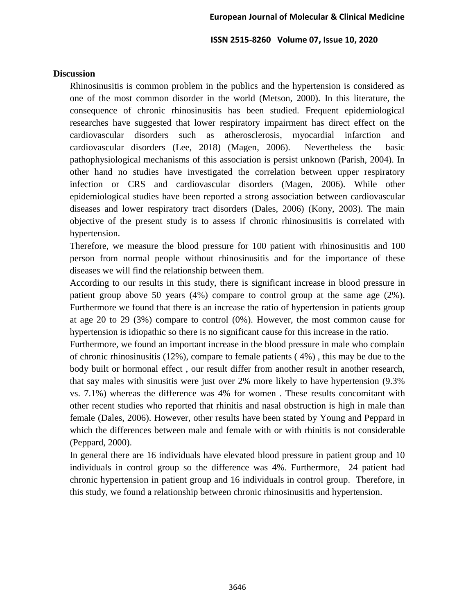#### **Discussion**

Rhinosinusitis is common problem in the publics and the hypertension is considered as one of the most common disorder in the world (Metson, 2000). In this literature, the consequence of chronic rhinosinusitis has been studied. Frequent epidemiological researches have suggested that lower respiratory impairment has direct effect on the cardiovascular disorders such as atherosclerosis, myocardial infarction and cardiovascular disorders (Lee, 2018) (Magen, 2006). Nevertheless the basic pathophysiological mechanisms of this association is persist unknown (Parish, 2004). In other hand no studies have investigated the correlation between upper respiratory infection or CRS and cardiovascular disorders (Magen, 2006). While other epidemiological studies have been reported a strong association between cardiovascular diseases and lower respiratory tract disorders (Dales, 2006) (Kony, 2003). The main objective of the present study is to assess if chronic rhinosinusitis is correlated with hypertension.

Therefore, we measure the blood pressure for 100 patient with rhinosinusitis and 100 person from normal people without rhinosinusitis and for the importance of these diseases we will find the relationship between them.

According to our results in this study, there is significant increase in blood pressure in patient group above 50 years (4%) compare to control group at the same age (2%). Furthermore we found that there is an increase the ratio of hypertension in patients group at age 20 to 29 (3%) compare to control (0%). However, the most common cause for hypertension is idiopathic so there is no significant cause for this increase in the ratio.

Furthermore, we found an important increase in the blood pressure in male who complain of chronic rhinosinusitis (12%), compare to female patients ( 4%) , this may be due to the body built or hormonal effect , our result differ from another result in another research, that say males with sinusitis were just over 2% more likely to have hypertension (9.3% vs. 7.1%) whereas the difference was 4% for women . These results concomitant with other recent studies who reported that rhinitis and nasal obstruction is high in male than female (Dales, 2006). However, other results have been stated by Young and Peppard in which the differences between male and female with or with rhinitis is not considerable (Peppard, 2000).

In general there are 16 individuals have elevated blood pressure in patient group and 10 individuals in control group so the difference was 4%. Furthermore, 24 patient had chronic hypertension in patient group and 16 individuals in control group. Therefore, in this study, we found a relationship between chronic rhinosinusitis and hypertension.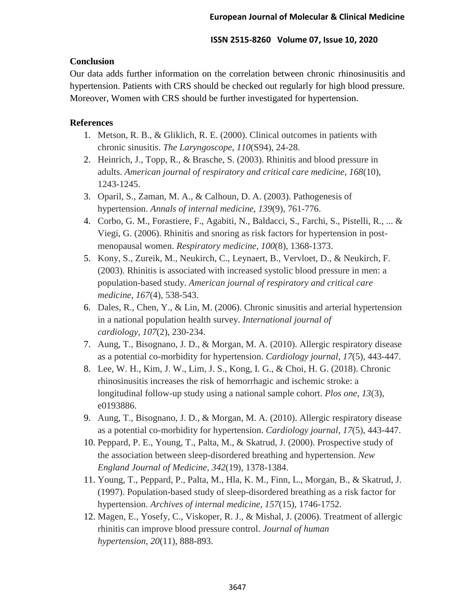## **Conclusion**

Our data adds further information on the correlation between chronic rhinosinusitis and hypertension. Patients with CRS should be checked out regularly for high blood pressure. Moreover, Women with CRS should be further investigated for hypertension.

## **References**

- 1. Metson, R. B., & Gliklich, R. E. (2000). Clinical outcomes in patients with chronic sinusitis. *The Laryngoscope*, *110*(S94), 24-28.
- 2. Heinrich, J., Topp, R., & Brasche, S. (2003). Rhinitis and blood pressure in adults. *American journal of respiratory and critical care medicine*, *168*(10), 1243-1245.
- 3. Oparil, S., Zaman, M. A., & Calhoun, D. A. (2003). Pathogenesis of hypertension. *Annals of internal medicine*, *139*(9), 761-776.
- 4. Corbo, G. M., Forastiere, F., Agabiti, N., Baldacci, S., Farchi, S., Pistelli, R., ... & Viegi, G. (2006). Rhinitis and snoring as risk factors for hypertension in postmenopausal women. *Respiratory medicine*, *100*(8), 1368-1373.
- 5. Kony, S., Zureik, M., Neukirch, C., Leynaert, B., Vervloet, D., & Neukirch, F. (2003). Rhinitis is associated with increased systolic blood pressure in men: a population-based study. *American journal of respiratory and critical care medicine*, *167*(4), 538-543.
- 6. Dales, R., Chen, Y., & Lin, M. (2006). Chronic sinusitis and arterial hypertension in a national population health survey. *International journal of cardiology*, *107*(2), 230-234.
- 7. Aung, T., Bisognano, J. D., & Morgan, M. A. (2010). Allergic respiratory disease as a potential co-morbidity for hypertension. *Cardiology journal*, *17*(5), 443-447.
- 8. Lee, W. H., Kim, J. W., Lim, J. S., Kong, I. G., & Choi, H. G. (2018). Chronic rhinosinusitis increases the risk of hemorrhagic and ischemic stroke: a longitudinal follow-up study using a national sample cohort. *Plos one*, *13*(3), e0193886.
- 9. Aung, T., Bisognano, J. D., & Morgan, M. A. (2010). Allergic respiratory disease as a potential co-morbidity for hypertension. *Cardiology journal*, *17*(5), 443-447.
- 10. Peppard, P. E., Young, T., Palta, M., & Skatrud, J. (2000). Prospective study of the association between sleep-disordered breathing and hypertension. *New England Journal of Medicine*, *342*(19), 1378-1384.
- 11. Young, T., Peppard, P., Palta, M., Hla, K. M., Finn, L., Morgan, B., & Skatrud, J. (1997). Population-based study of sleep-disordered breathing as a risk factor for hypertension. *Archives of internal medicine*, *157*(15), 1746-1752.
- 12. Magen, E., Yosefy, C., Viskoper, R. J., & Mishal, J. (2006). Treatment of allergic rhinitis can improve blood pressure control. *Journal of human hypertension*, *20*(11), 888-893.